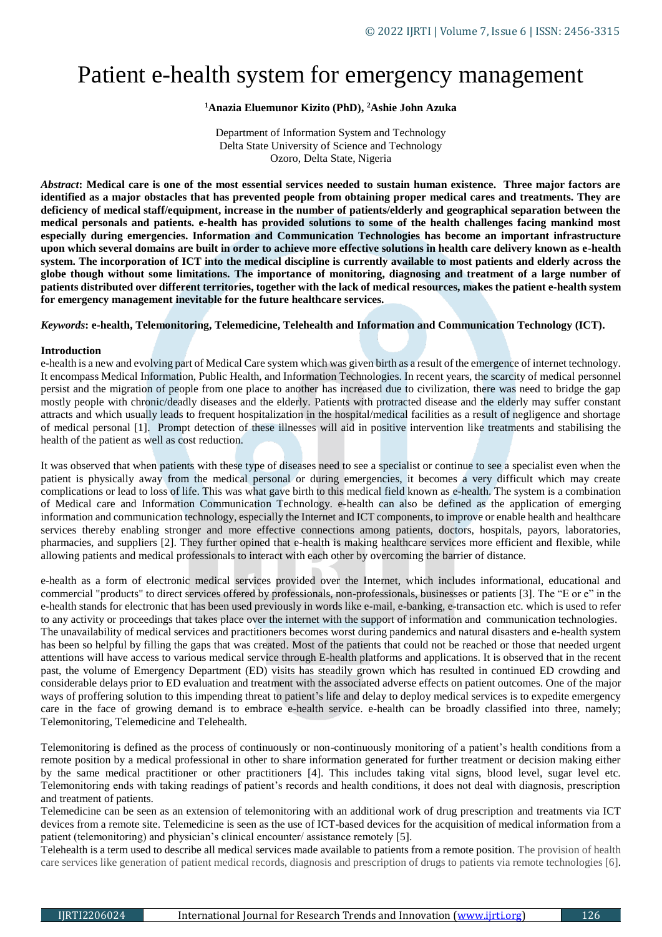# Patient e-health system for emergency management

# **<sup>1</sup>Anazia Eluemunor Kizito (PhD), <sup>2</sup>Ashie John Azuka**

Department of Information System and Technology Delta State University of Science and Technology Ozoro, Delta State, Nigeria

*Abstract***: Medical care is one of the most essential services needed to sustain human existence. Three major factors are identified as a major obstacles that has prevented people from obtaining proper medical cares and treatments. They are deficiency of medical staff/equipment, increase in the number of patients/elderly and geographical separation between the medical personals and patients. e-health has provided solutions to some of the health challenges facing mankind most especially during emergencies. Information and Communication Technologies has become an important infrastructure upon which several domains are built in order to achieve more effective solutions in health care delivery known as e-health system. The incorporation of ICT into the medical discipline is currently available to most patients and elderly across the globe though without some limitations. The importance of monitoring, diagnosing and treatment of a large number of patients distributed over different territories, together with the lack of medical resources, makes the patient e-health system for emergency management inevitable for the future healthcare services.**

*Keywords***: e-health, Telemonitoring, Telemedicine, Telehealth and Information and Communication Technology (ICT).**

#### **Introduction**

e-health is a new and evolving part of Medical Care system which was given birth as a result of the emergence of internet technology. It encompass Medical Information, Public Health, and Information Technologies. In recent years, the scarcity of medical personnel persist and the migration of people from one place to another has increased due to civilization, there was need to bridge the gap mostly people with chronic/deadly diseases and the elderly. Patients with protracted disease and the elderly may suffer constant attracts and which usually leads to frequent hospitalization in the hospital/medical facilities as a result of negligence and shortage of medical personal [1]. Prompt detection of these illnesses will aid in positive intervention like treatments and stabilising the health of the patient as well as cost reduction.

It was observed that when patients with these type of diseases need to see a specialist or continue to see a specialist even when the patient is physically away from the medical personal or during emergencies, it becomes a very difficult which may create complications or lead to loss of life. This was what gave birth to this medical field known as e-health. The system is a combination of Medical care and Information Communication Technology. e-health can also be defined as the application of emerging information and communication technology, especially the Internet and ICT components, to improve or enable health and healthcare services thereby enabling stronger and more effective connections among patients, doctors, hospitals, payors, laboratories, pharmacies, and suppliers [2]. They further opined that e-health is making healthcare services more efficient and flexible, while allowing patients and medical professionals to interact with each other by overcoming the barrier of distance.

e-health as a form of electronic medical services provided over the Internet, which includes informational, educational and commercial "products" to direct services offered by professionals, non-professionals, businesses or patients [3]. The "E or e" in the e-health stands for electronic that has been used previously in words like e-mail, e-banking, e-transaction etc. which is used to refer to any activity or proceedings that takes place over the internet with the support of information and communication technologies. The unavailability of medical services and practitioners becomes worst during pandemics and natural disasters and e-health system has been so helpful by filling the gaps that was created. Most of the patients that could not be reached or those that needed urgent attentions will have access to various medical service through E-health platforms and applications. It is observed that in the recent past, the volume of Emergency Department (ED) visits has steadily grown which has resulted in continued ED crowding and considerable delays prior to ED evaluation and treatment with the associated adverse effects on patient outcomes. One of the major ways of proffering solution to this impending threat to patient's life and delay to deploy medical services is to expedite emergency care in the face of growing demand is to embrace e-health service. e-health can be broadly classified into three, namely; Telemonitoring, Telemedicine and Telehealth.

Telemonitoring is defined as the process of continuously or non-continuously monitoring of a patient's health conditions from a remote position by a medical professional in other to share information generated for further treatment or decision making either by the same medical practitioner or other practitioners [4]. This includes taking vital signs, blood level, sugar level etc. Telemonitoring ends with taking readings of patient's records and health conditions, it does not deal with diagnosis, prescription and treatment of patients.

Telemedicine can be seen as an extension of telemonitoring with an additional work of drug prescription and treatments via ICT devices from a remote site. Telemedicine is seen as the use of ICT-based devices for the acquisition of medical information from a patient (telemonitoring) and physician's clinical encounter/ assistance remotely [5].

Telehealth is a term used to describe all medical services made available to patients from a remote position. The provision of health care services like generation of patient medical records, diagnosis and prescription of drugs to patients via remote technologies [6].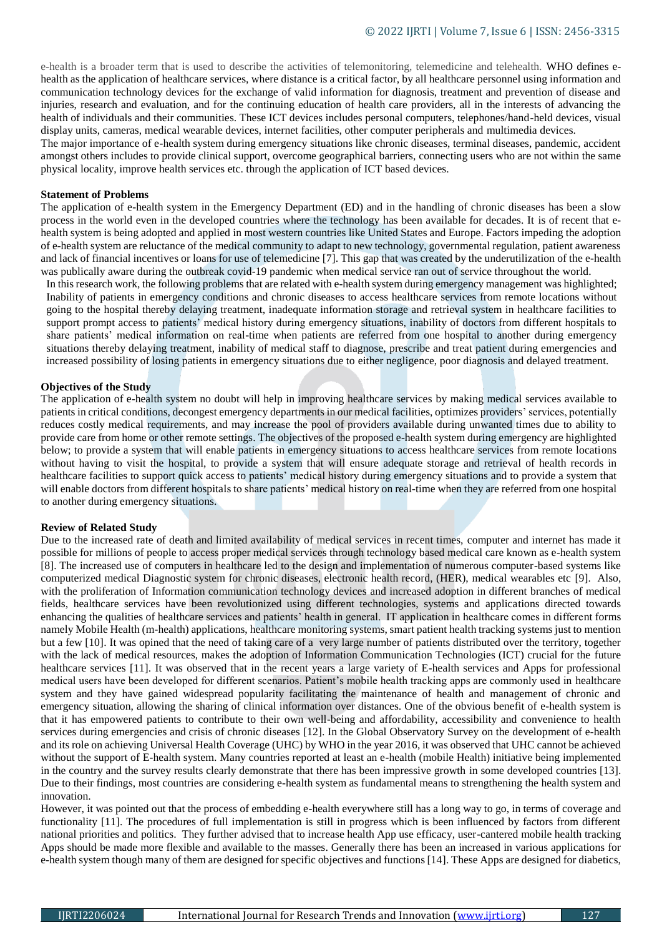e-health is a broader term that is used to describe the activities of telemonitoring, telemedicine and telehealth. WHO defines ehealth as the application of healthcare services, where distance is a critical factor, by all healthcare personnel using information and communication technology devices for the exchange of valid information for diagnosis, treatment and prevention of disease and injuries, research and evaluation, and for the continuing education of health care providers, all in the interests of advancing the health of individuals and their communities. These ICT devices includes personal computers, telephones/hand-held devices, visual display units, cameras, medical wearable devices, internet facilities, other computer peripherals and multimedia devices.

The major importance of e-health system during emergency situations like chronic diseases, terminal diseases, pandemic, accident amongst others includes to provide clinical support, overcome geographical barriers, connecting users who are not within the same physical locality, improve health services etc. through the application of ICT based devices.

#### **Statement of Problems**

The application of e-health system in the Emergency Department (ED) and in the handling of chronic diseases has been a slow process in the world even in the developed countries where the technology has been available for decades. It is of recent that ehealth system is being adopted and applied in most western countries like United States and Europe. Factors impeding the adoption of e-health system are reluctance of the medical community to adapt to new technology, governmental regulation, patient awareness and lack of financial incentives or loans for use of telemedicine [7]. This gap that was created by the underutilization of the e-health was publically aware during the outbreak covid-19 pandemic when medical service ran out of service throughout the world.

In this research work, the following problems that are related with e-health system during emergency management was highlighted; Inability of patients in emergency conditions and chronic diseases to access healthcare services from remote locations without going to the hospital thereby delaying treatment, inadequate information storage and retrieval system in healthcare facilities to support prompt access to patients' medical history during emergency situations, inability of doctors from different hospitals to share patients' medical information on real-time when patients are referred from one hospital to another during emergency situations thereby delaying treatment, inability of medical staff to diagnose, prescribe and treat patient during emergencies and increased possibility of losing patients in emergency situations due to either negligence, poor diagnosis and delayed treatment.

#### **Objectives of the Study**

The application of e-health system no doubt will help in improving healthcare services by making medical services available to patients in critical conditions, decongest emergency departments in our medical facilities, optimizes providers' services, potentially reduces costly medical requirements, and may increase the pool of providers available during unwanted times due to ability to provide care from home or other remote settings. The objectives of the proposed e-health system during emergency are highlighted below; to provide a system that will enable patients in emergency situations to access healthcare services from remote locations without having to visit the hospital, to provide a system that will ensure adequate storage and retrieval of health records in healthcare facilities to support quick access to patients' medical history during emergency situations and to provide a system that will enable doctors from different hospitals to share patients' medical history on real-time when they are referred from one hospital to another during emergency situations.

#### **Review of Related Study**

Due to the increased rate of death and limited availability of medical services in recent times, computer and internet has made it possible for millions of people to access proper medical services through technology based medical care known as e-health system [8]. The increased use of computers in healthcare led to the design and implementation of numerous computer-based systems like computerized medical Diagnostic system for chronic diseases, electronic health record, (HER), medical wearables etc [9]. Also, with the proliferation of Information communication technology devices and increased adoption in different branches of medical fields, healthcare services have been revolutionized using different technologies, systems and applications directed towards enhancing the qualities of healthcare services and patients' health in general. IT application in healthcare comes in different forms namely Mobile Health (m-health) applications, healthcare monitoring systems, smart patient health tracking systems just to mention but a few [10]. It was opined that the need of taking care of a very large number of patients distributed over the territory, together with the lack of medical resources, makes the adoption of Information Communication Technologies (ICT) crucial for the future healthcare services [11]. It was observed that in the recent years a large variety of E-health services and Apps for professional medical users have been developed for different scenarios. Patient's mobile health tracking apps are commonly used in healthcare system and they have gained widespread popularity facilitating the maintenance of health and management of chronic and emergency situation, allowing the sharing of clinical information over distances. One of the obvious benefit of e-health system is that it has empowered patients to contribute to their own well-being and affordability, accessibility and convenience to health services during emergencies and crisis of chronic diseases [12]. In the Global Observatory Survey on the development of e-health and its role on achieving Universal Health Coverage (UHC) by WHO in the year 2016, it was observed that UHC cannot be achieved without the support of E-health system. Many countries reported at least an e-health (mobile Health) initiative being implemented in the country and the survey results clearly demonstrate that there has been impressive growth in some developed countries [13]. Due to their findings, most countries are considering e-health system as fundamental means to strengthening the health system and innovation.

However, it was pointed out that the process of embedding e-health everywhere still has a long way to go, in terms of coverage and functionality [11]. The procedures of full implementation is still in progress which is been influenced by factors from different national priorities and politics. They further advised that to increase health App use efficacy, user-cantered mobile health tracking Apps should be made more flexible and available to the masses. Generally there has been an increased in various applications for e-health system though many of them are designed for specific objectives and functions [14]. These Apps are designed for diabetics,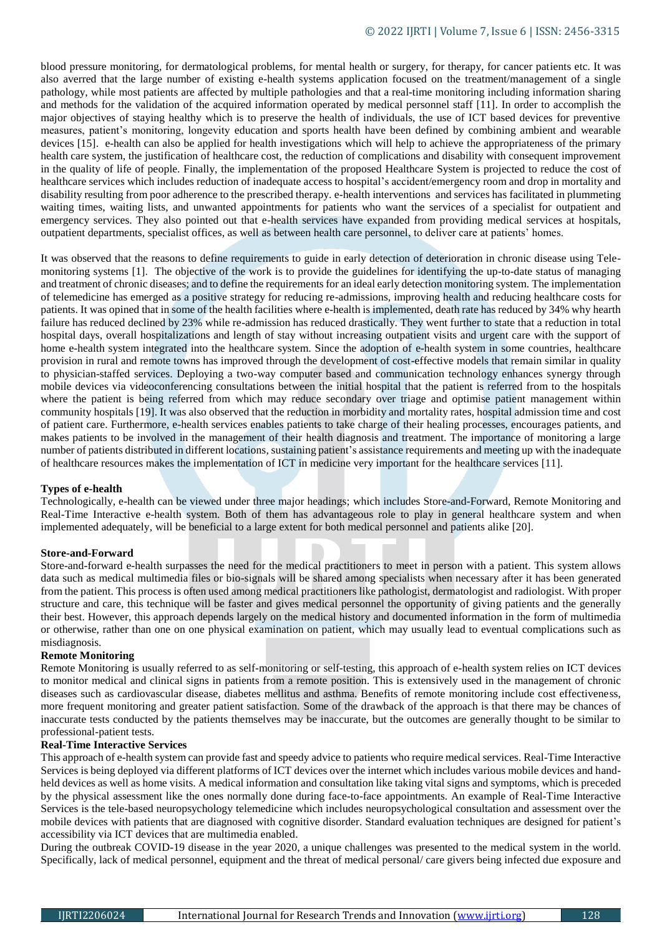blood pressure monitoring, for dermatological problems, for mental health or surgery, for therapy, for cancer patients etc. It was also averred that the large number of existing e-health systems application focused on the treatment/management of a single pathology, while most patients are affected by multiple pathologies and that a real-time monitoring including information sharing and methods for the validation of the acquired information operated by medical personnel staff [11]. In order to accomplish the major objectives of staying healthy which is to preserve the health of individuals, the use of ICT based devices for preventive measures, patient's monitoring, longevity education and sports health have been defined by combining ambient and wearable devices [15]. e-health can also be applied for health investigations which will help to achieve the appropriateness of the primary health care system, the justification of healthcare cost, the reduction of complications and disability with consequent improvement in the quality of life of people. Finally, the implementation of the proposed Healthcare System is projected to reduce the cost of healthcare services which includes reduction of inadequate access to hospital's accident/emergency room and drop in mortality and disability resulting from poor adherence to the prescribed therapy. e-health interventions and services has facilitated in plummeting waiting times, waiting lists, and unwanted appointments for patients who want the services of a specialist for outpatient and emergency services. They also pointed out that e-health services have expanded from providing medical services at hospitals, outpatient departments, specialist offices, as well as between health care personnel, to deliver care at patients' homes.

It was observed that the reasons to define requirements to guide in early detection of deterioration in chronic disease using Telemonitoring systems [1]. The objective of the work is to provide the guidelines for identifying the up-to-date status of managing and treatment of chronic diseases; and to define the requirements for an ideal early detection monitoring system. The implementation of telemedicine has emerged as a positive strategy for reducing re-admissions, improving health and reducing healthcare costs for patients. It was opined that in some of the health facilities where e-health is implemented, death rate has reduced by 34% why hearth failure has reduced declined by 23% while re-admission has reduced drastically. They went further to state that a reduction in total hospital days, overall hospitalizations and length of stay without increasing outpatient visits and urgent care with the support of home e-health system integrated into the healthcare system. Since the adoption of e-health system in some countries, healthcare provision in rural and remote towns has improved through the development of cost-effective models that remain similar in quality to physician-staffed services. Deploying a two-way computer based and communication technology enhances synergy through mobile devices via videoconferencing consultations between the initial hospital that the patient is referred from to the hospitals where the patient is being referred from which may reduce secondary over triage and optimise patient management within community hospitals [19]. It was also observed that the reduction in morbidity and mortality rates, hospital admission time and cost of patient care. Furthermore, e-health services enables patients to take charge of their healing processes, encourages patients, and makes patients to be involved in the management of their health diagnosis and treatment. The importance of monitoring a large number of patients distributed in different locations, sustaining patient's assistance requirements and meeting up with the inadequate of healthcare resources makes the implementation of ICT in medicine very important for the healthcare services [11].

# **Types of e-health**

Technologically, e-health can be viewed under three major headings; which includes Store-and-Forward, Remote Monitoring and Real-Time Interactive e-health system. Both of them has advantageous role to play in general healthcare system and when implemented adequately, will be beneficial to a large extent for both medical personnel and patients alike [20].

# **Store-and-Forward**

Store-and-forward e-health surpasses the need for the medical practitioners to meet in person with a patient. This system allows data such as medical multimedia files or bio-signals will be shared among specialists when necessary after it has been generated from the patient. This process is often used among medical practitioners like pathologist, dermatologist and radiologist. With proper structure and care, this technique will be faster and gives medical personnel the opportunity of giving patients and the generally their best. However, this approach depends largely on the medical history and documented information in the form of multimedia or otherwise, rather than one on one physical examination on patient, which may usually lead to eventual complications such as misdiagnosis.

#### **Remote Monitoring**

Remote Monitoring is usually referred to as self-monitoring or self-testing, this approach of e-health system relies on ICT devices to monitor medical and clinical signs in patients from a remote position. This is extensively used in the management of chronic diseases such as cardiovascular disease, diabetes mellitus and asthma. Benefits of remote monitoring include cost effectiveness, more frequent monitoring and greater patient satisfaction. Some of the drawback of the approach is that there may be chances of inaccurate tests conducted by the patients themselves may be inaccurate, but the outcomes are generally thought to be similar to professional-patient tests.

#### **Real-Time Interactive Services**

This approach of e-health system can provide fast and speedy advice to patients who require medical services. Real-Time Interactive Services is being deployed via different platforms of ICT devices over the internet which includes various mobile devices and handheld devices as well as home visits. A medical information and consultation like taking vital signs and symptoms, which is preceded by the physical assessment like the ones normally done during face-to-face appointments. An example of Real-Time Interactive Services is the tele-based neuropsychology telemedicine which includes neuropsychological consultation and assessment over the mobile devices with patients that are diagnosed with cognitive disorder. Standard evaluation techniques are designed for patient's accessibility via ICT devices that are multimedia enabled.

During the outbreak COVID-19 disease in the year 2020, a unique challenges was presented to the medical system in the world. Specifically, lack of medical personnel, equipment and the threat of medical personal/ care givers being infected due exposure and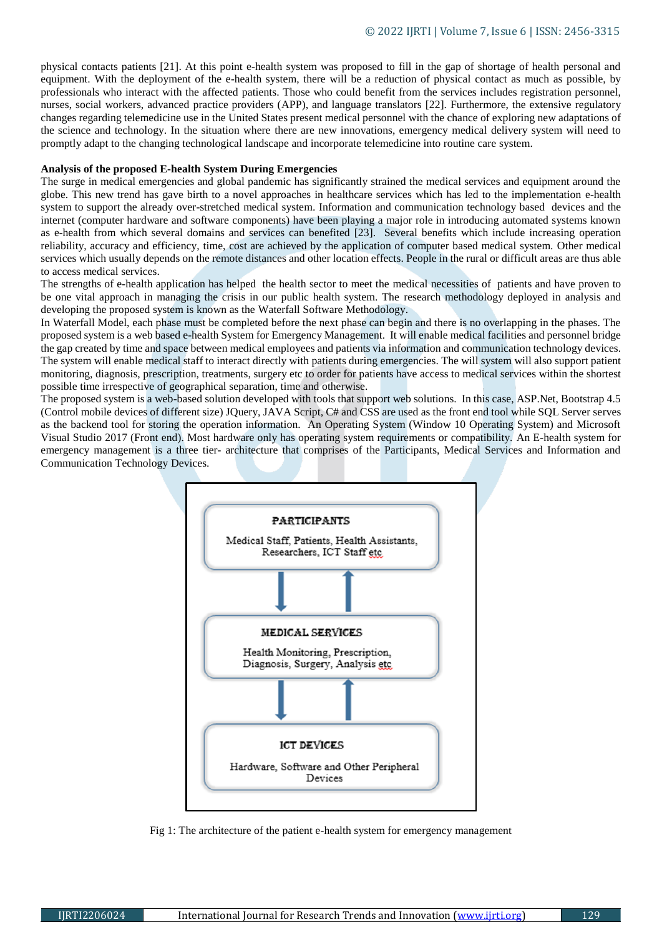physical contacts patients [21]. At this point e-health system was proposed to fill in the gap of shortage of health personal and equipment. With the deployment of the e-health system, there will be a reduction of physical contact as much as possible, by professionals who interact with the affected patients. Those who could benefit from the services includes registration personnel, nurses, social workers, advanced practice providers (APP), and language translators [22]. Furthermore, the extensive regulatory changes regarding telemedicine use in the United States present medical personnel with the chance of exploring new adaptations of the science and technology. In the situation where there are new innovations, emergency medical delivery system will need to promptly adapt to the changing technological landscape and incorporate telemedicine into routine care system.

# **Analysis of the proposed E-health System During Emergencies**

The surge in medical emergencies and global pandemic has significantly strained the medical services and equipment around the globe. This new trend has gave birth to a novel approaches in healthcare services which has led to the implementation e-health system to support the already over-stretched medical system. Information and communication technology based devices and the internet (computer hardware and software components) have been playing a major role in introducing automated systems known as e-health from which several domains and services can benefited [23]. Several benefits which include increasing operation reliability, accuracy and efficiency, time, cost are achieved by the application of computer based medical system. Other medical services which usually depends on the remote distances and other location effects. People in the rural or difficult areas are thus able to access medical services.

The strengths of e-health application has helped the health sector to meet the medical necessities of patients and have proven to be one vital approach in managing the crisis in our public health system. The research methodology deployed in analysis and developing the proposed system is known as the Waterfall Software Methodology.

In Waterfall Model, each phase must be completed before the next phase can begin and there is no overlapping in the phases. The proposed system is a web based e-health System for Emergency Management. It will enable medical facilities and personnel bridge the gap created by time and space between medical employees and patients via information and communication technology devices. The system will enable medical staff to interact directly with patients during emergencies. The will system will also support patient monitoring, diagnosis, prescription, treatments, surgery etc to order for patients have access to medical services within the shortest possible time irrespective of geographical separation, time and otherwise.

The proposed system is a web-based solution developed with tools that support web solutions. In this case, ASP.Net, Bootstrap 4.5 (Control mobile devices of different size) JQuery, JAVA Script, C# and CSS are used as the front end tool while SQL Server serves as the backend tool for storing the operation information. An Operating System (Window 10 Operating System) and Microsoft Visual Studio 2017 (Front end). Most hardware only has operating system requirements or compatibility. An E-health system for emergency management is a three tier- architecture that comprises of the Participants, Medical Services and Information and Communication Technology Devices.



Fig 1: The architecture of the patient e-health system for emergency management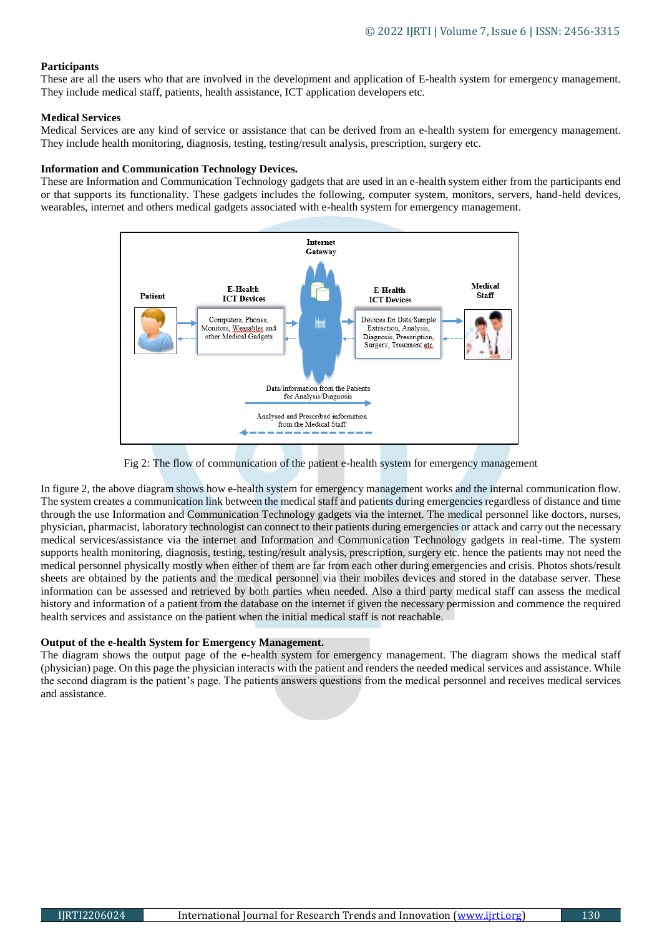# **Participants**

These are all the users who that are involved in the development and application of E-health system for emergency management. They include medical staff, patients, health assistance, ICT application developers etc.

# **Medical Services**

Medical Services are any kind of service or assistance that can be derived from an e-health system for emergency management. They include health monitoring, diagnosis, testing, testing/result analysis, prescription, surgery etc.

#### **Information and Communication Technology Devices.**

These are Information and Communication Technology gadgets that are used in an e-health system either from the participants end or that supports its functionality. These gadgets includes the following, computer system, monitors, servers, hand-held devices, wearables, internet and others medical gadgets associated with e-health system for emergency management.



Fig 2: The flow of communication of the patient e-health system for emergency management

In figure 2, the above diagram shows how e-health system for emergency management works and the internal communication flow. The system creates a communication link between the medical staff and patients during emergencies regardless of distance and time through the use Information and Communication Technology gadgets via the internet. The medical personnel like doctors, nurses, physician, pharmacist, laboratory technologist can connect to their patients during emergencies or attack and carry out the necessary medical services/assistance via the internet and Information and Communication Technology gadgets in real-time. The system supports health monitoring, diagnosis, testing, testing/result analysis, prescription, surgery etc. hence the patients may not need the medical personnel physically mostly when either of them are far from each other during emergencies and crisis. Photos shots/result sheets are obtained by the patients and the medical personnel via their mobiles devices and stored in the database server. These information can be assessed and retrieved by both parties when needed. Also a third party medical staff can assess the medical history and information of a patient from the database on the internet if given the necessary permission and commence the required health services and assistance on the patient when the initial medical staff is not reachable.

#### **Output of the e-health System for Emergency Management.**

The diagram shows the output page of the e-health system for emergency management. The diagram shows the medical staff (physician) page. On this page the physician interacts with the patient and renders the needed medical services and assistance. While the second diagram is the patient's page. The patients answers questions from the medical personnel and receives medical services and assistance.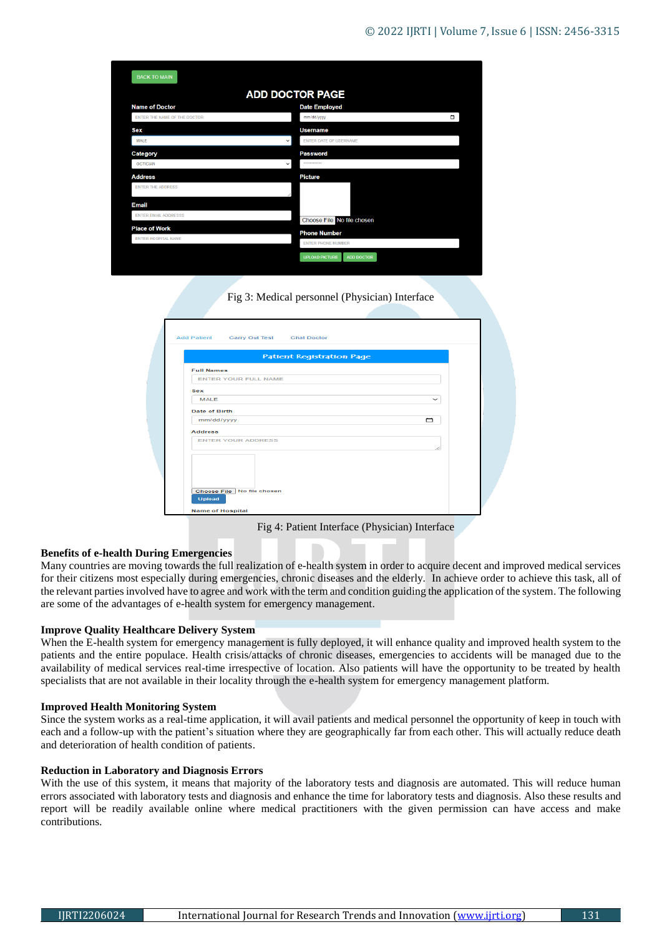| <b>BACK TO MAIN</b>          |                                               |
|------------------------------|-----------------------------------------------|
|                              | <b>ADD DOCTOR PAGE</b>                        |
| <b>Name of Doctor</b>        | <b>Date Employed</b>                          |
| ENTER THE NAME OF THE DOCTOR | $\Box$<br>mm/dd/yyyy                          |
| <b>Sex</b>                   | <b>Username</b>                               |
| <b>MALE</b>                  | <b>ENTER DATE OF USERNAME</b><br>$\checkmark$ |
| Category                     | <b>Password</b>                               |
| <b>OCTICIAN</b>              | <b>ARTHURSHAM</b><br>$\checkmark$             |
| <b>Address</b>               | <b>Picture</b>                                |
| <b>ENTER THE ADDRESS</b>     |                                               |
| <b>Email</b>                 |                                               |
| <b>ENTER EMAIL ADDRESSS</b>  | Choose File No file chosen                    |
| <b>Place of Work</b>         | <b>Phone Number</b>                           |
| <b>ENTER HOSPITAL NAME</b>   | <b>ENTER PHONE NUMBER</b>                     |

Fig 3: Medical personnel (Physician) Interface

| Patient Registration Page<br>$\checkmark$ |
|-------------------------------------------|
|                                           |
|                                           |
|                                           |
|                                           |
|                                           |
| ▭                                         |
|                                           |
|                                           |
|                                           |
|                                           |
|                                           |
|                                           |
|                                           |

Fig 4: Patient Interface (Physician) Interface

# **Benefits of e-health During Emergencies**

Many countries are moving towards the full realization of e-health system in order to acquire decent and improved medical services for their citizens most especially during emergencies, chronic diseases and the elderly. In achieve order to achieve this task, all of the relevant parties involved have to agree and work with the term and condition guiding the application of the system. The following are some of the advantages of e-health system for emergency management.

#### **Improve Quality Healthcare Delivery System**

When the E-health system for emergency management is fully deployed, it will enhance quality and improved health system to the patients and the entire populace. Health crisis/attacks of chronic diseases, emergencies to accidents will be managed due to the availability of medical services real-time irrespective of location. Also patients will have the opportunity to be treated by health specialists that are not available in their locality through the e-health system for emergency management platform.

#### **Improved Health Monitoring System**

Since the system works as a real-time application, it will avail patients and medical personnel the opportunity of keep in touch with each and a follow-up with the patient's situation where they are geographically far from each other. This will actually reduce death and deterioration of health condition of patients.

#### **Reduction in Laboratory and Diagnosis Errors**

With the use of this system, it means that majority of the laboratory tests and diagnosis are automated. This will reduce human errors associated with laboratory tests and diagnosis and enhance the time for laboratory tests and diagnosis. Also these results and report will be readily available online where medical practitioners with the given permission can have access and make contributions.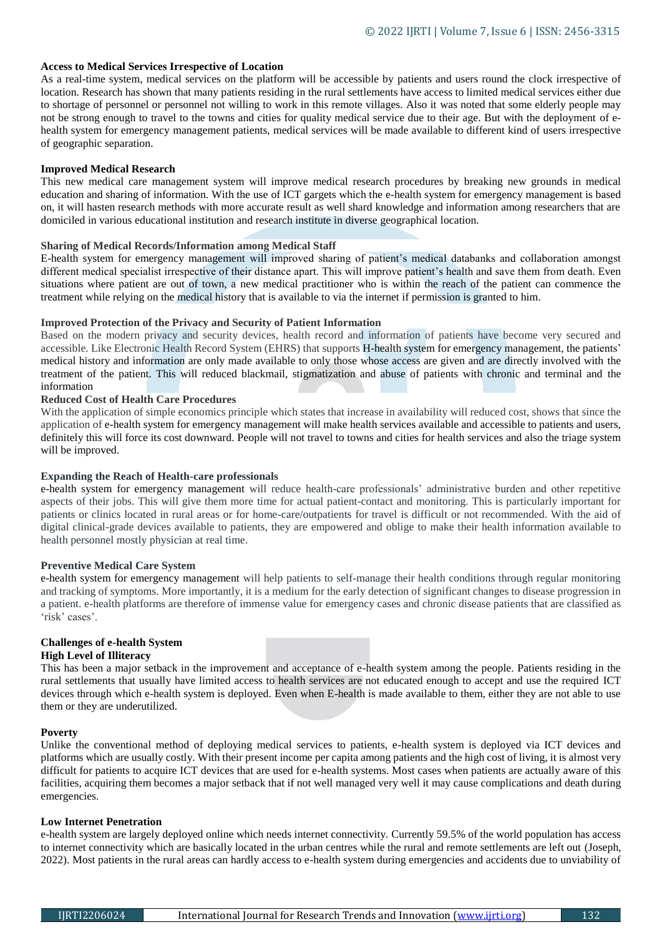# **Access to Medical Services Irrespective of Location**

As a real-time system, medical services on the platform will be accessible by patients and users round the clock irrespective of location. Research has shown that many patients residing in the rural settlements have access to limited medical services either due to shortage of personnel or personnel not willing to work in this remote villages. Also it was noted that some elderly people may not be strong enough to travel to the towns and cities for quality medical service due to their age. But with the deployment of ehealth system for emergency management patients, medical services will be made available to different kind of users irrespective of geographic separation.

#### **Improved Medical Research**

This new medical care management system will improve medical research procedures by breaking new grounds in medical education and sharing of information. With the use of ICT gargets which the e-health system for emergency management is based on, it will hasten research methods with more accurate result as well shard knowledge and information among researchers that are domiciled in various educational institution and research institute in diverse geographical location.

#### **Sharing of Medical Records/Information among Medical Staff**

E-health system for emergency management will improved sharing of patient's medical databanks and collaboration amongst different medical specialist irrespective of their distance apart. This will improve patient's health and save them from death. Even situations where patient are out of town, a new medical practitioner who is within the reach of the patient can commence the treatment while relying on the medical history that is available to via the internet if permission is granted to him.

# **Improved Protection of the Privacy and Security of Patient Information**

Based on the modern privacy and security devices, health record and information of patients have become very secured and accessible. Like Electronic Health Record System (EHRS) that supports H-health system for emergency management, the patients' medical history and information are only made available to only those whose access are given and are directly involved with the treatment of the patient. This will reduced blackmail, stigmatization and abuse of patients with chronic and terminal and the information

# **Reduced Cost of Health Care Procedures**

With the application of simple economics principle which states that increase in availability will reduced cost, shows that since the application of e-health system for emergency management will make health services available and accessible to patients and users, definitely this will force its cost downward. People will not travel to towns and cities for health services and also the triage system will be improved.

#### **Expanding the Reach of Health-care professionals**

e-health system for emergency management will reduce health-care professionals' administrative burden and other repetitive aspects of their jobs. This will give them more time for actual patient-contact and monitoring. This is particularly important for patients or clinics located in rural areas or for home-care/outpatients for travel is difficult or not recommended. With the aid of digital clinical-grade devices available to patients, they are empowered and oblige to make their health information available to health personnel mostly physician at real time.

#### **Preventive Medical Care System**

e-health system for emergency management will help patients to self-manage their health conditions through regular monitoring and tracking of symptoms. More importantly, it is a medium for the early detection of significant changes to disease progression in a patient. e-health platforms are therefore of immense value for emergency cases and chronic disease patients that are classified as 'risk' cases'.

# **Challenges of e-health System**

# **High Level of Illiteracy**

This has been a major setback in the improvement and acceptance of e-health system among the people. Patients residing in the rural settlements that usually have limited access to health services are not educated enough to accept and use the required ICT devices through which e-health system is deployed. Even when E-health is made available to them, either they are not able to use them or they are underutilized.

#### **Poverty**

Unlike the conventional method of deploying medical services to patients, e-health system is deployed via ICT devices and platforms which are usually costly. With their present income per capita among patients and the high cost of living, it is almost very difficult for patients to acquire ICT devices that are used for e-health systems. Most cases when patients are actually aware of this facilities, acquiring them becomes a major setback that if not well managed very well it may cause complications and death during emergencies.

#### **Low Internet Penetration**

e-health system are largely deployed online which needs internet connectivity. Currently 59.5% of the world population has access to internet connectivity which are basically located in the urban centres while the rural and remote settlements are left out (Joseph, 2022). Most patients in the rural areas can hardly access to e-health system during emergencies and accidents due to unviability of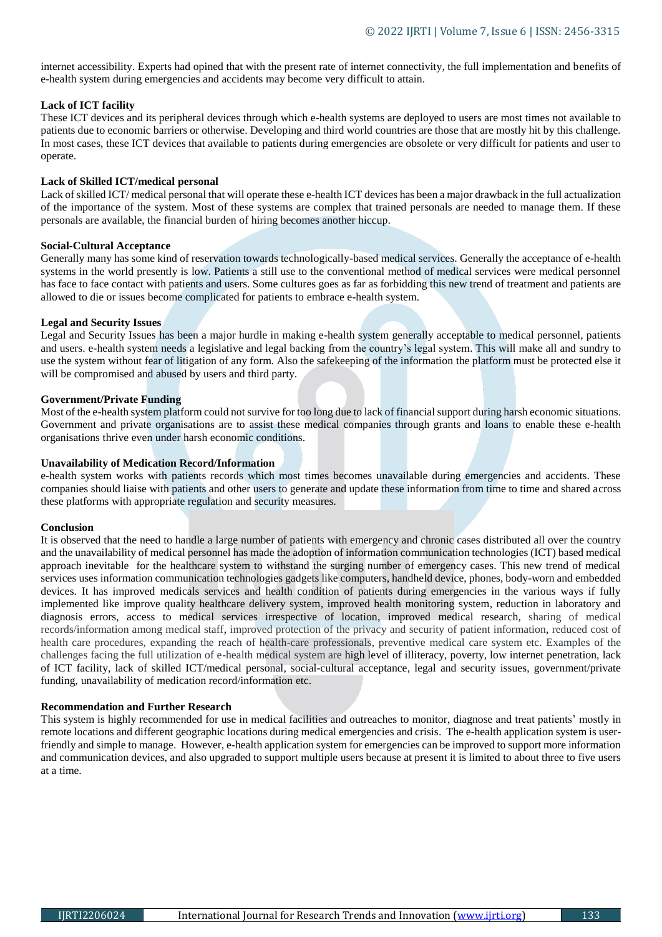internet accessibility. Experts had opined that with the present rate of internet connectivity, the full implementation and benefits of e-health system during emergencies and accidents may become very difficult to attain.

# **Lack of ICT facility**

These ICT devices and its peripheral devices through which e-health systems are deployed to users are most times not available to patients due to economic barriers or otherwise. Developing and third world countries are those that are mostly hit by this challenge. In most cases, these ICT devices that available to patients during emergencies are obsolete or very difficult for patients and user to operate.

# **Lack of Skilled ICT/medical personal**

Lack of skilled ICT/ medical personal that will operate these e-health ICT devices has been a major drawback in the full actualization of the importance of the system. Most of these systems are complex that trained personals are needed to manage them. If these personals are available, the financial burden of hiring becomes another hiccup.

# **Social-Cultural Acceptance**

Generally many has some kind of reservation towards technologically-based medical services. Generally the acceptance of e-health systems in the world presently is low. Patients a still use to the conventional method of medical services were medical personnel has face to face contact with patients and users. Some cultures goes as far as forbidding this new trend of treatment and patients are allowed to die or issues become complicated for patients to embrace e-health system.

# **Legal and Security Issues**

Legal and Security Issues has been a major hurdle in making e-health system generally acceptable to medical personnel, patients and users. e-health system needs a legislative and legal backing from the country's legal system. This will make all and sundry to use the system without fear of litigation of any form. Also the safekeeping of the information the platform must be protected else it will be compromised and abused by users and third party.

# **Government/Private Funding**

Most of the e-health system platform could not survive for too long due to lack of financial support during harsh economic situations. Government and private organisations are to assist these medical companies through grants and loans to enable these e-health organisations thrive even under harsh economic conditions.

#### **Unavailability of Medication Record/Information**

e-health system works with patients records which most times becomes unavailable during emergencies and accidents. These companies should liaise with patients and other users to generate and update these information from time to time and shared across these platforms with appropriate regulation and security measures.

#### **Conclusion**

It is observed that the need to handle a large number of patients with emergency and chronic cases distributed all over the country and the unavailability of medical personnel has made the adoption of information communication technologies (ICT) based medical approach inevitable for the healthcare system to withstand the surging number of emergency cases. This new trend of medical services uses information communication technologies gadgets like computers, handheld device, phones, body-worn and embedded devices. It has improved medicals services and health condition of patients during emergencies in the various ways if fully implemented like improve quality healthcare delivery system, improved health monitoring system, reduction in laboratory and diagnosis errors, access to medical services irrespective of location, improved medical research, sharing of medical records/information among medical staff, improved protection of the privacy and security of patient information, reduced cost of health care procedures, expanding the reach of health-care professionals, preventive medical care system etc. Examples of the challenges facing the full utilization of e-health medical system are high level of illiteracy, poverty, low internet penetration, lack of ICT facility, lack of skilled ICT/medical personal, social-cultural acceptance, legal and security issues, government/private funding, unavailability of medication record/information etc.

#### **Recommendation and Further Research**

This system is highly recommended for use in medical facilities and outreaches to monitor, diagnose and treat patients' mostly in remote locations and different geographic locations during medical emergencies and crisis. The e-health application system is userfriendly and simple to manage. However, e-health application system for emergencies can be improved to support more information and communication devices, and also upgraded to support multiple users because at present it is limited to about three to five users at a time.